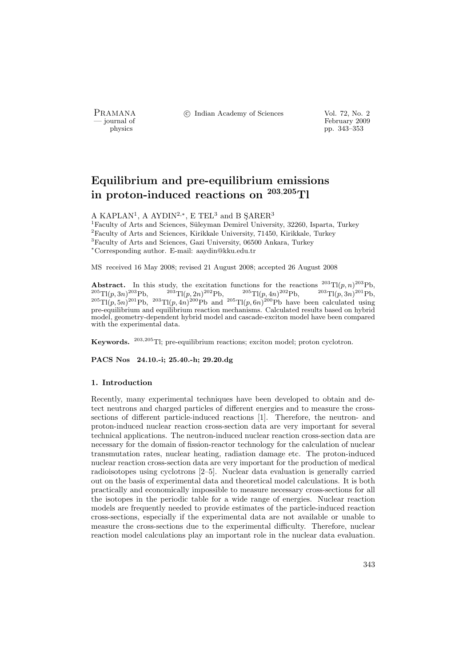PRAMANA °c Indian Academy of Sciences Vol. 72, No. 2

physics<br>
and the settlement of February 2009<br>
pp. 343–353<br>
pp. 343–353 physics pp. 343–353

# Equilibrium and pre-equilibrium emissions in proton-induced reactions on <sup>203</sup>,<sup>205</sup>Tl

A KAPLAN<sup>1</sup>, A AYDIN<sup>2,\*</sup>, E TEL<sup>3</sup> and B SARER<sup>3</sup>

<sup>1</sup>Faculty of Arts and Sciences, Süleyman Demirel University, 32260, Isparta, Turkey  $^{2}$  Faculty of Arts and Sciences, Kirikkale University, 71450, Kirikkale, Turkey <sup>3</sup>Faculty of Arts and Sciences, Gazi University, 06500 Ankara, Turkey <sup>∗</sup>Corresponding author. E-mail: aaydin@kku.edu.tr

MS received 16 May 2008; revised 21 August 2008; accepted 26 August 2008

**Abstract.** In this study, the excitation functions for the reactions  $^{203}Tl(p,n)^{203}Pb$ ,  ${}^{205}\text{Ti}(p,3n){}^{203}\text{Pb},$   ${}^{203}\text{Ti}(p,2n){}^{202}\text{Pb},$   ${}^{205}\text{Ti}(p,4n){}^{202}\text{Pb},$   ${}^{203}\text{Ti}(p,3n){}^{201}\text{Pb},$  $^{205}$ Tl(p, 5n)<sup>201</sup>Pb,  $^{203}$ Tl(p, 4n)<sup>200</sup>Pb and  $^{205}$ Tl(p, 6n)<sup>200</sup>Pb have been calculated using pre-equilibrium and equilibrium reaction mechanisms. Calculated results based on hybrid model, geometry-dependent hybrid model and cascade-exciton model have been compared with the experimental data.

Keywords. <sup>203</sup>,<sup>205</sup>Tl; pre-equilibrium reactions; exciton model; proton cyclotron.

PACS Nos 24.10.-i; 25.40.-h; 29.20.dg

### 1. Introduction

Recently, many experimental techniques have been developed to obtain and detect neutrons and charged particles of different energies and to measure the crosssections of different particle-induced reactions [1]. Therefore, the neutron- and proton-induced nuclear reaction cross-section data are very important for several technical applications. The neutron-induced nuclear reaction cross-section data are necessary for the domain of fission-reactor technology for the calculation of nuclear transmutation rates, nuclear heating, radiation damage etc. The proton-induced nuclear reaction cross-section data are very important for the production of medical radioisotopes using cyclotrons [2–5]. Nuclear data evaluation is generally carried out on the basis of experimental data and theoretical model calculations. It is both practically and economically impossible to measure necessary cross-sections for all the isotopes in the periodic table for a wide range of energies. Nuclear reaction models are frequently needed to provide estimates of the particle-induced reaction cross-sections, especially if the experimental data are not available or unable to measure the cross-sections due to the experimental difficulty. Therefore, nuclear reaction model calculations play an important role in the nuclear data evaluation.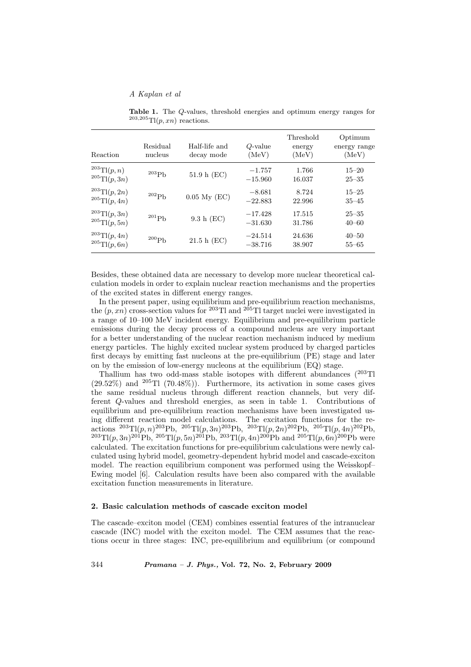Table 1. The Q-values, threshold energies and optimum energy ranges for  $^{203,205}$ Tl(p, xn) reactions.

| Reaction                                      | Residual<br>nucleus | Half-life and<br>decay mode | $Q$ -value<br>(MeV)    | Threshold<br>energy<br>(MeV) | Optimum<br>energy range<br>(MeV) |
|-----------------------------------------------|---------------------|-----------------------------|------------------------|------------------------------|----------------------------------|
| $^{203}$ Tl $(p, n)$<br>$^{205}$ Tl $(p, 3n)$ | $^{203}\mathrm{Pb}$ | 51.9 h (EC)                 | $-1.757$<br>$-15.960$  | 1.766<br>16.037              | $15 - 20$<br>$25 - 35$           |
| $^{203}$ Tl $(p, 2n)$<br>$^{205}$ Tl(p, 4n)   | $^{202}\mathrm{Pb}$ | $0.05$ My $(EC)$            | $-8.681$<br>$-22.883$  | 8.724<br>22.996              | $15 - 25$<br>$35 - 45$           |
| $^{203}$ Tl $(p, 3n)$<br>$^{205}$ Tl(p, 5n)   | $^{201}\mathrm{Pb}$ | 9.3 h (EC)                  | $-17.428$<br>$-31.630$ | 17.515<br>31.786             | $25 - 35$<br>$40 - 60$           |
| $^{203}$ Tl(p, 4n)<br>$^{205}$ Tl(p, 6n)      | $^{200}\mathrm{Pb}$ | 21.5 h (EC)                 | $-24.514$<br>$-38.716$ | 24.636<br>38.907             | $40 - 50$<br>$55 - 65$           |

Besides, these obtained data are necessary to develop more nuclear theoretical calculation models in order to explain nuclear reaction mechanisms and the properties of the excited states in different energy ranges.

In the present paper, using equilibrium and pre-equilibrium reaction mechanisms, the  $(p, xn)$  cross-section values for <sup>203</sup>Tl and <sup>205</sup>Tl target nuclei were investigated in a range of 10–100 MeV incident energy. Equilibrium and pre-equilibrium particle emissions during the decay process of a compound nucleus are very important for a better understanding of the nuclear reaction mechanism induced by medium energy particles. The highly excited nuclear system produced by charged particles first decays by emitting fast nucleons at the pre-equilibrium (PE) stage and later on by the emission of low-energy nucleons at the equilibrium (EQ) stage.

Thallium has two odd-mass stable isotopes with different abundances (<sup>203</sup>Tl  $(29.52\%)$  and  $^{205}$ Tl  $(70.48\%)$ ). Furthermore, its activation in some cases gives the same residual nucleus through different reaction channels, but very different Q-values and threshold energies, as seen in table 1. Contributions of equilibrium and pre-equilibrium reaction mechanisms have been investigated using different reaction model calculations. The excitation functions for the re- $\arctan s^{-203}$ Tl $(p, n)^{203}$ Pb,  $^{205}$ Tl $(p, 3n)^{203}$ Pb,  $^{203}$ Tl $(p, 2n)^{202}$ Pb,  $^{205}$ Tl $(p, 4n)^{202}$ Pb,  $^{203}$ Tl(p, 3n)<sup>201</sup>Pb, <sup>205</sup>Tl(p, 5n)<sup>201</sup>Pb, <sup>203</sup>Tl(p, 4n)<sup>200</sup>Pb and <sup>205</sup>Tl(p, 6n)<sup>200</sup>Pb were calculated. The excitation functions for pre-equilibrium calculations were newly calculated using hybrid model, geometry-dependent hybrid model and cascade-exciton model. The reaction equilibrium component was performed using the Weisskopf– Ewing model [6]. Calculation results have been also compared with the available excitation function measurements in literature.

#### 2. Basic calculation methods of cascade exciton model

The cascade–exciton model (CEM) combines essential features of the intranuclear cascade (INC) model with the exciton model. The CEM assumes that the reactions occur in three stages: INC, pre-equilibrium and equilibrium (or compound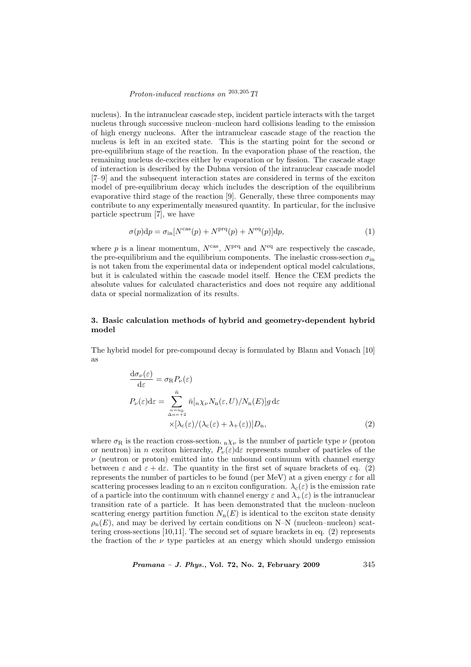## Proton-induced reactions on  $^{203,205}$  Tl

nucleus). In the intranuclear cascade step, incident particle interacts with the target nucleus through successive nucleon–nucleon hard collisions leading to the emission of high energy nucleons. After the intranuclear cascade stage of the reaction the nucleus is left in an excited state. This is the starting point for the second or pre-equilibrium stage of the reaction. In the evaporation phase of the reaction, the remaining nucleus de-excites either by evaporation or by fission. The cascade stage of interaction is described by the Dubna version of the intranuclear cascade model [7–9] and the subsequent interaction states are considered in terms of the exciton model of pre-equilibrium decay which includes the description of the equilibrium evaporative third stage of the reaction [9]. Generally, these three components may contribute to any experimentally measured quantity. In particular, for the inclusive particle spectrum [7], we have

$$
\sigma(p)dp = \sigma_{\text{in}}[N^{\text{cas}}(p) + N^{\text{prq}}(p) + N^{\text{eq}}(p)]dp,\tag{1}
$$

where p is a linear momentum,  $N<sup>cas</sup>$ ,  $N<sup>prq</sup>$  and  $N<sup>eq</sup>$  are respectively the cascade, the pre-equilibrium and the equilibrium components. The inelastic cross-section  $\sigma_{\rm in}$ is not taken from the experimental data or independent optical model calculations, but it is calculated within the cascade model itself. Hence the CEM predicts the absolute values for calculated characteristics and does not require any additional data or special normalization of its results.

## 3. Basic calculation methods of hybrid and geometry-dependent hybrid model

The hybrid model for pre-compound decay is formulated by Blann and Vonach [10] as

$$
\frac{d\sigma_{\nu}(\varepsilon)}{d\varepsilon} = \sigma_{\rm R} P_{\nu}(\varepsilon)
$$
  
\n
$$
P_{\nu}(\varepsilon) d\varepsilon = \sum_{\substack{n=n_0\\ \Delta n = +2}}^{\bar{n}} \bar{n}_{n} \left[ \frac{n}{\lambda \nu} N_{\rm n}(\varepsilon, U) / N_{\rm n}(E) \right] g d\varepsilon
$$
  
\n
$$
\times \left[ \frac{\lambda_{\rm c}(\varepsilon)}{\lambda_{\rm c}(\varepsilon)} / (\lambda_{\rm c}(\varepsilon) + \lambda_{+}(\varepsilon)) \right] D_{\rm n}, \tag{2}
$$

where  $\sigma_R$  is the reaction cross-section,  $_n\chi_{\nu}$  is the number of particle type  $\nu$  (proton or neutron) in n exciton hierarchy,  $P_{\nu}(\varepsilon)d\varepsilon$  represents number of particles of the  $\nu$  (neutron or proton) emitted into the unbound continuum with channel energy between  $\varepsilon$  and  $\varepsilon + d\varepsilon$ . The quantity in the first set of square brackets of eq. (2) represents the number of particles to be found (per MeV) at a given energy  $\varepsilon$  for all scattering processes leading to an n exciton configuration.  $\lambda_c(\varepsilon)$  is the emission rate of a particle into the continuum with channel energy  $\varepsilon$  and  $\lambda_+(\varepsilon)$  is the intranuclear transition rate of a particle. It has been demonstrated that the nucleon–nucleon scattering energy partition function  $N_n(E)$  is identical to the exciton state density  $\rho_n(E)$ , and may be derived by certain conditions on N–N (nucleon–nucleon) scattering cross-sections [10,11]. The second set of square brackets in eq. (2) represents the fraction of the  $\nu$  type particles at an energy which should undergo emission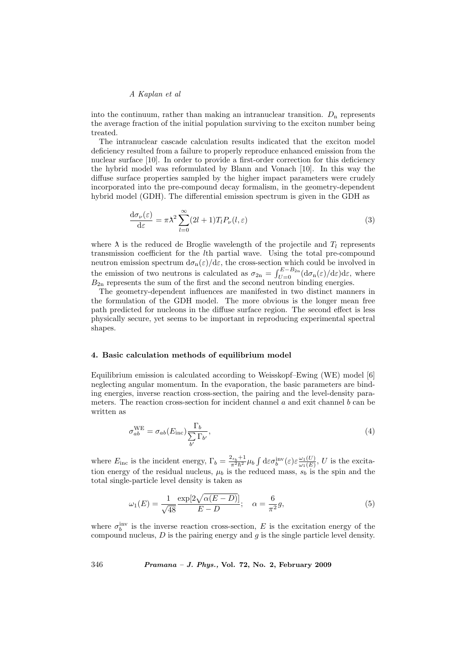into the continuum, rather than making an intranuclear transition.  $D_n$  represents the average fraction of the initial population surviving to the exciton number being treated.

The intranuclear cascade calculation results indicated that the exciton model deficiency resulted from a failure to properly reproduce enhanced emission from the nuclear surface [10]. In order to provide a first-order correction for this deficiency the hybrid model was reformulated by Blann and Vonach [10]. In this way the diffuse surface properties sampled by the higher impact parameters were crudely incorporated into the pre-compound decay formalism, in the geometry-dependent hybrid model (GDH). The differential emission spectrum is given in the GDH as

$$
\frac{d\sigma_{\nu}(\varepsilon)}{d\varepsilon} = \pi \lambda^2 \sum_{l=0}^{\infty} (2l+1) T_l P_{\nu}(l,\varepsilon)
$$
\n(3)

where  $\lambda$  is the reduced de Broglie wavelength of the projectile and  $T_l$  represents transmission coefficient for the lth partial wave. Using the total pre-compound neutron emission spectrum  $d\sigma_n(\varepsilon)/d\varepsilon$ , the cross-section which could be involved in the emission of two neutrons is calculated as  $\sigma_{2n} = \int_{U=0}^{E-B_{2n}}$  $U_{U=0}^{E-B_{2n}}(\mathrm{d}\sigma_{n}(\varepsilon)/\mathrm{d}\varepsilon)\mathrm{d}\varepsilon$ , where  $B_{2n}$  represents the sum of the first and the second neutron binding energies.

The geometry-dependent influences are manifested in two distinct manners in the formulation of the GDH model. The more obvious is the longer mean free path predicted for nucleons in the diffuse surface region. The second effect is less physically secure, yet seems to be important in reproducing experimental spectral shapes.

#### 4. Basic calculation methods of equilibrium model

Equilibrium emission is calculated according to Weisskopf–Ewing (WE) model [6] neglecting angular momentum. In the evaporation, the basic parameters are binding energies, inverse reaction cross-section, the pairing and the level-density parameters. The reaction cross-section for incident channel  $a$  and exit channel  $b$  can be written as

$$
\sigma_{ab}^{\text{WE}} = \sigma_{ab}(E_{\text{inc}}) \frac{\Gamma_b}{\sum_{b'} \Gamma_{b'}},\tag{4}
$$

where  $E_{\text{inc}}$  is the incident energy,  $\Gamma_b = \frac{2s_b+1}{\pi^2 \hbar^2} \mu_b$  $\int d\varepsilon \sigma_b^{\rm inv}(\varepsilon) \varepsilon \frac{\omega_1(U)}{\omega_1(E)}$  $\frac{\omega_1(U)}{\omega_1(E)}$ , U is the excitation energy of the residual nucleus,  $\mu_b$  is the reduced mass,  $s_b$  is the spin and the total single-particle level density is taken as

$$
\omega_1(E) = \frac{1}{\sqrt{48}} \frac{\exp[2\sqrt{\alpha(E - D)}]}{E - D}; \quad \alpha = \frac{6}{\pi^2} g,\tag{5}
$$

where  $\sigma_b^{\text{inv}}$  is the inverse reaction cross-section, E is the excitation energy of the compound nucleus,  $D$  is the pairing energy and  $q$  is the single particle level density.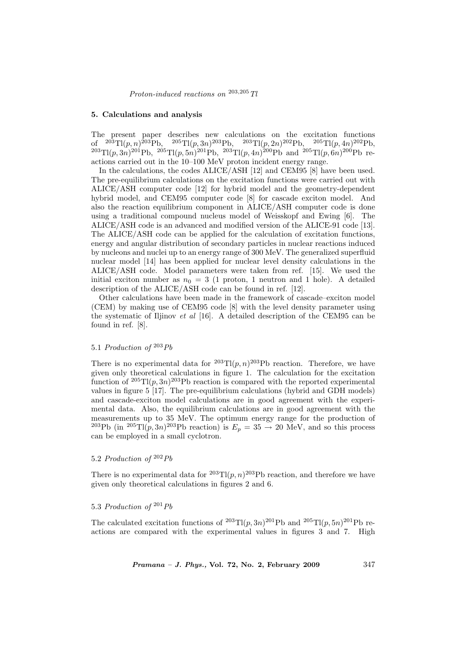#### 5. Calculations and analysis

The present paper describes new calculations on the excitation functions of  $^{203}$ Tl(p, n)<sup>203</sup>Pb,  $^{205}$ Tl(p, 3n)<sup>203</sup>Pb,  $^{203}$ Tl(p, 2n)<sup>202</sup>Pb,  $^{205}$ Tl(p, 4n)<sup>202</sup>Pb,  $^{203}$ Tl $(p, 3n)$ <sup>201</sup>Pb,  $^{205}$ Tl $(p, 5n)$ <sup>201</sup>Pb,  $^{203}$ Tl $(p, 4n)$ <sup>200</sup>Pb and  $^{205}$ Tl $(p, 6n)$ <sup>200</sup>Pb reactions carried out in the 10–100 MeV proton incident energy range.

In the calculations, the codes ALICE/ASH [12] and CEM95 [8] have been used. The pre-equilibrium calculations on the excitation functions were carried out with ALICE/ASH computer code [12] for hybrid model and the geometry-dependent hybrid model, and CEM95 computer code [8] for cascade exciton model. And also the reaction equilibrium component in ALICE/ASH computer code is done using a traditional compound nucleus model of Weisskopf and Ewing [6]. The ALICE/ASH code is an advanced and modified version of the ALICE-91 code [13]. The ALICE/ASH code can be applied for the calculation of excitation functions, energy and angular distribution of secondary particles in nuclear reactions induced by nucleons and nuclei up to an energy range of 300 MeV. The generalized superfluid nuclear model [14] has been applied for nuclear level density calculations in the ALICE/ASH code. Model parameters were taken from ref. [15]. We used the initial exciton number as  $n_0 = 3$  (1 proton, 1 neutron and 1 hole). A detailed description of the ALICE/ASH code can be found in ref. [12].

Other calculations have been made in the framework of cascade–exciton model (CEM) by making use of CEM95 code [8] with the level density parameter using the systematic of Iljinov et al [16]. A detailed description of the CEM95 can be found in ref. [8].

# 5.1 Production of  $203Pb$

There is no experimental data for  ${}^{203}$ Tl $(p, n) {}^{203}$ Pb reaction. Therefore, we have given only theoretical calculations in figure 1. The calculation for the excitation function of  ${}^{205}Tl(p,3n){}^{203}Pb$  reaction is compared with the reported experimental values in figure 5 [17]. The pre-equilibrium calculations (hybrid and GDH models) and cascade-exciton model calculations are in good agreement with the experimental data. Also, the equilibrium calculations are in good agreement with the measurements up to 35 MeV. The optimum energy range for the production of <sup>203</sup>Pb (in <sup>205</sup>Tl $(p, 3n)$ <sup>203</sup>Pb reaction) is  $E_p = 35 \rightarrow 20$  MeV, and so this process can be employed in a small cyclotron.

# 5.2 Production of  $202Pb$

There is no experimental data for  ${}^{203}$ Tl $(p, n)$  ${}^{203}$ Pb reaction, and therefore we have given only theoretical calculations in figures 2 and 6.

## 5.3 Production of  $^{201}Pb$

The calculated excitation functions of <sup>203</sup>Tl $(p, 3n)$ <sup>201</sup>Pb and <sup>205</sup>Tl $(p, 5n)$ <sup>201</sup>Pb reactions are compared with the experimental values in figures 3 and 7. High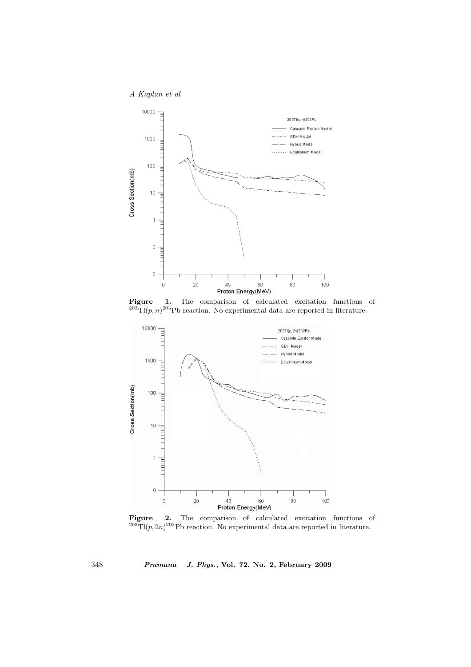

Figure 1. The comparison of calculated excitation functions of  $^{203}$ Tl(p, n)<sup>203</sup>Pb reaction. No experimental data are reported in literature.



Figure 2. The comparison of calculated excitation functions of  $^{203}$ Tl(p, 2n)<sup>202</sup>Pb reaction. No experimental data are reported in literature.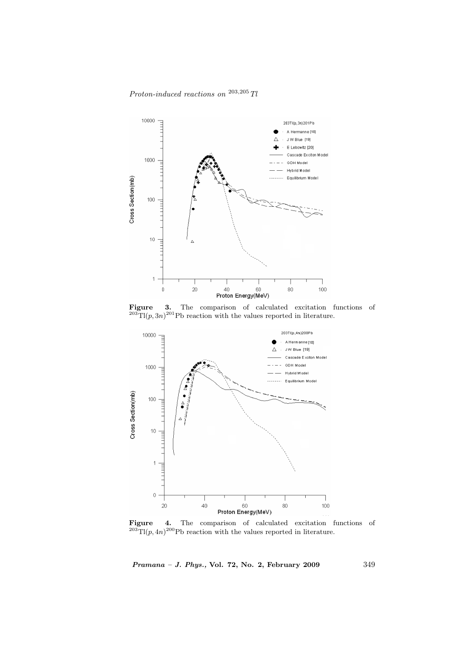# $\emph{Proton-induced reactions on }^{203,205}\emph{Tl}$



Figure 3. The comparison of calculated excitation functions of  $^{203}$ Tl(p, 3n)<sup>201</sup>Pb reaction with the values reported in literature.



Figure 4. The comparison of calculated excitation functions of  $^{203}$ Tl(p, 4n)<sup>200</sup>Pb reaction with the values reported in literature.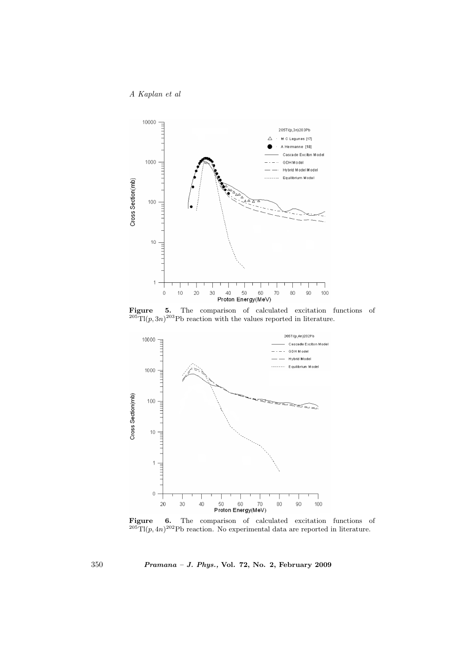

Figure 5. The comparison of calculated excitation functions of  $^{205}$ Tl(p, 3n)<sup>203</sup>Pb reaction with the values reported in literature.



Figure 6. The comparison of calculated excitation functions of  $^{205}$ Tl(p, 4n)<sup>202</sup>Pb reaction. No experimental data are reported in literature.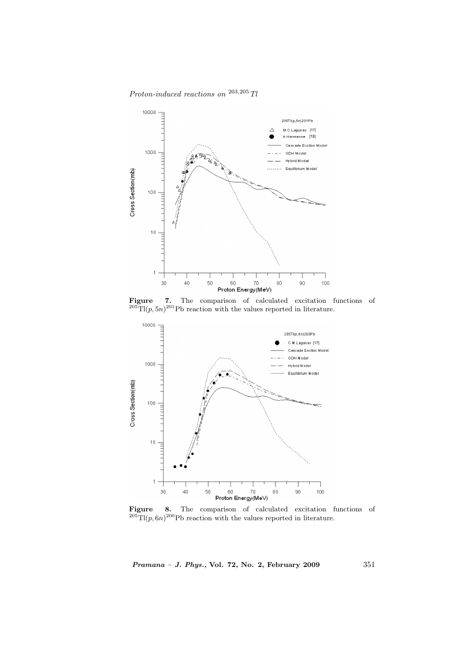# $\emph{Proton-induced reactions on }^{203,205}\emph{Tl}$



Figure 7. The comparison of calculated excitation functions of  $^{205}$ Tl(p, 5n)<sup>201</sup>Pb reaction with the values reported in literature.



Figure 8. The comparison of calculated excitation functions of  $^{205}$ Tl(p, 6n)<sup>200</sup>Pb reaction with the values reported in literature.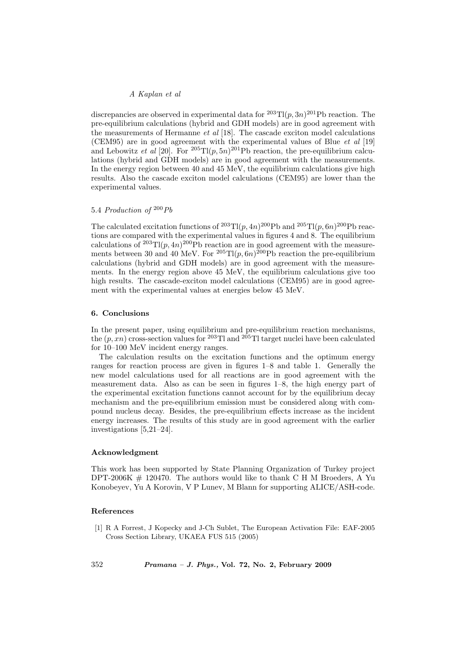discrepancies are observed in experimental data for  $203T1(p, 3n)$   $201Pb$  reaction. The pre-equilibrium calculations (hybrid and GDH models) are in good agreement with the measurements of Hermanne  $et$  al [18]. The cascade exciton model calculations (CEM95) are in good agreement with the experimental values of Blue  $et \ al$  [19] and Lebowitz *et al* [20]. For  ${}^{205}Tl(p, 5n){}^{201}Pb$  reaction, the pre-equilibrium calculations (hybrid and GDH models) are in good agreement with the measurements. In the energy region between 40 and 45 MeV, the equilibrium calculations give high results. Also the cascade exciton model calculations (CEM95) are lower than the experimental values.

## 5.4 Production of  $200Pb$

The calculated excitation functions of  ${}^{203}Tl(p,4n){}^{200}Pb$  and  ${}^{205}Tl(p,6n){}^{200}Pb$  reactions are compared with the experimental values in figures 4 and 8. The equilibrium calculations of  $^{203}T1(p,4n)^{200}Pb$  reaction are in good agreement with the measurements between 30 and 40 MeV. For  ${}^{205}Tl(p,6n){}^{200}Pb$  reaction the pre-equilibrium calculations (hybrid and GDH models) are in good agreement with the measurements. In the energy region above 45 MeV, the equilibrium calculations give too high results. The cascade-exciton model calculations (CEM95) are in good agreement with the experimental values at energies below 45 MeV.

## 6. Conclusions

In the present paper, using equilibrium and pre-equilibrium reaction mechanisms, the  $(p, xn)$  cross-section values for <sup>203</sup>Tl and <sup>205</sup>Tl target nuclei have been calculated for 10–100 MeV incident energy ranges.

The calculation results on the excitation functions and the optimum energy ranges for reaction process are given in figures 1–8 and table 1. Generally the new model calculations used for all reactions are in good agreement with the measurement data. Also as can be seen in figures 1–8, the high energy part of the experimental excitation functions cannot account for by the equilibrium decay mechanism and the pre-equilibrium emission must be considered along with compound nucleus decay. Besides, the pre-equilibrium effects increase as the incident energy increases. The results of this study are in good agreement with the earlier investigations [5,21–24].

#### Acknowledgment

This work has been supported by State Planning Organization of Turkey project DPT-2006K  $\#$  120470. The authors would like to thank C H M Broeders, A Yu Konobeyev, Yu A Korovin, V P Lunev, M Blann for supporting ALICE/ASH-code.

#### References

[1] R A Forrest, J Kopecky and J-Ch Sublet, The European Activation File: EAF-2005 Cross Section Library, UKAEA FUS 515 (2005)